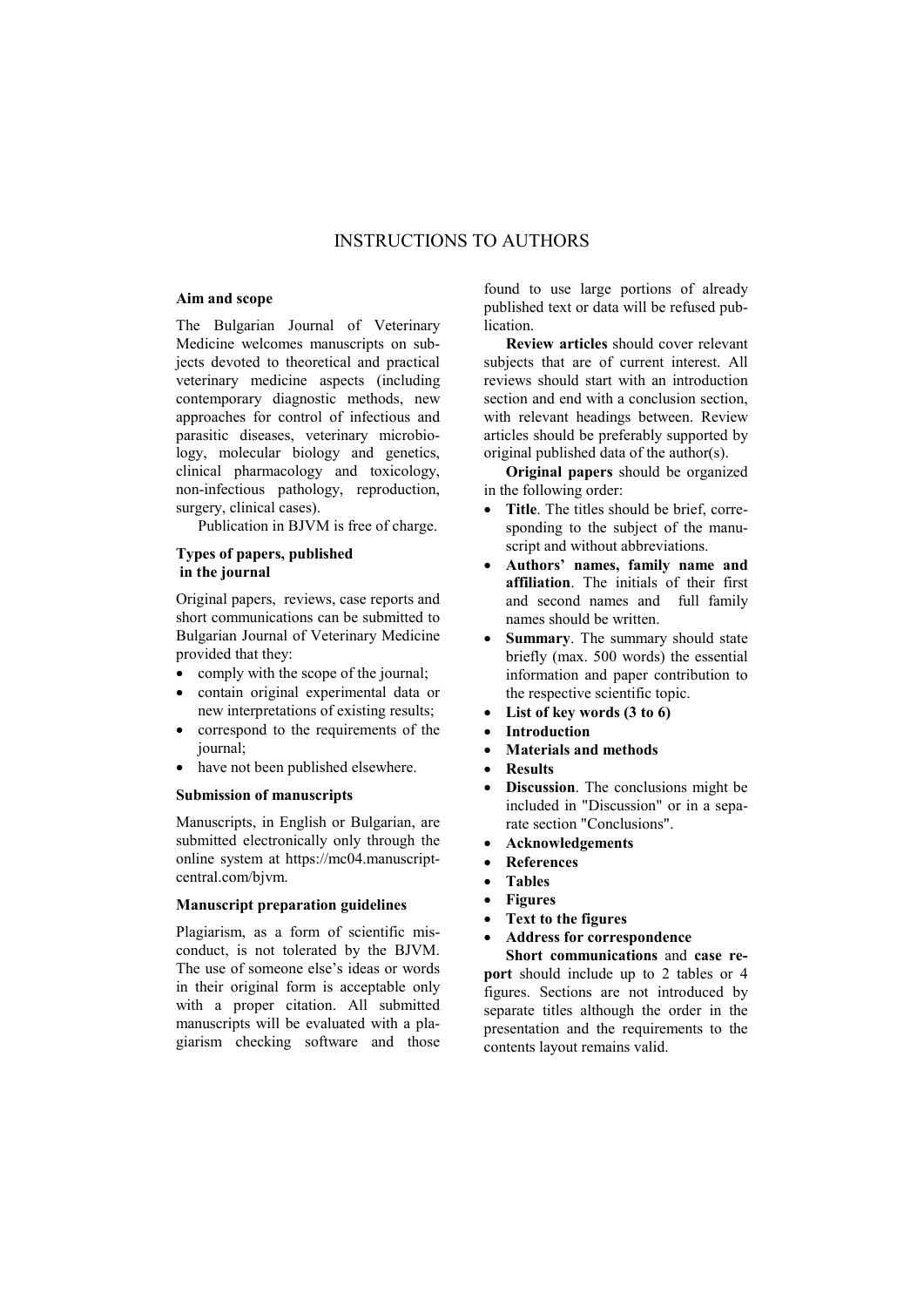# INSTRUCTIONS TO AUTHORS

## Aim and scope

The Bulgarian Journal of Veterinary Medicine welcomes manuscripts on subjects devoted to theoretical and practical veterinary medicine aspects (including contemporary diagnostic methods, new approaches for control of infectious and parasitic diseases, veterinary microbiology, molecular biology and genetics, clinical pharmacology and toxicology, non-infectious pathology, reproduction, surgery, clinical cases).

Publication in BJVM is free of charge.

## Types of papers, published in the journal

Original papers, reviews, case reports and short communications can be submitted to Bulgarian Journal of Veterinary Medicine provided that they:

- comply with the scope of the journal;
- contain original experimental data or new interpretations of existing results;
- correspond to the requirements of the journal;
- have not been published elsewhere.

## Submission of manuscripts

Manuscripts, in English or Bulgarian, are submitted electronically only through the online system at https://mc04.manuscriptcentral.com/bjvm.

## Manuscript preparation guidelines

Plagiarism, as a form of scientific misconduct, is not tolerated by the BJVM. The use of someone else's ideas or words in their original form is acceptable only with a proper citation. All submitted manuscripts will be evaluated with a plagiarism checking software and those found to use large portions of already published text or data will be refused publication.

Review articles should cover relevant subjects that are of current interest. All reviews should start with an introduction section and end with a conclusion section, with relevant headings between. Review articles should be preferably supported by original published data of the author(s).

Original papers should be organized in the following order:

- Title. The titles should be brief, corresponding to the subject of the manuscript and without abbreviations.
- Authors' names, family name and affiliation. The initials of their first and second names and full family names should be written.
- Summary. The summary should state briefly (max. 500 words) the essential information and paper contribution to the respective scientific topic.
- List of key words (3 to 6)
- Introduction
- Materials and methods
- Results
- Discussion. The conclusions might be included in "Discussion" or in a separate section "Conclusions".
- Acknowledgements
- References
- Tables
- Figures
- Text to the figures
- Address for correspondence

Short communications and case report should include up to 2 tables or 4 figures. Sections are not introduced by separate titles although the order in the presentation and the requirements to the contents layout remains valid.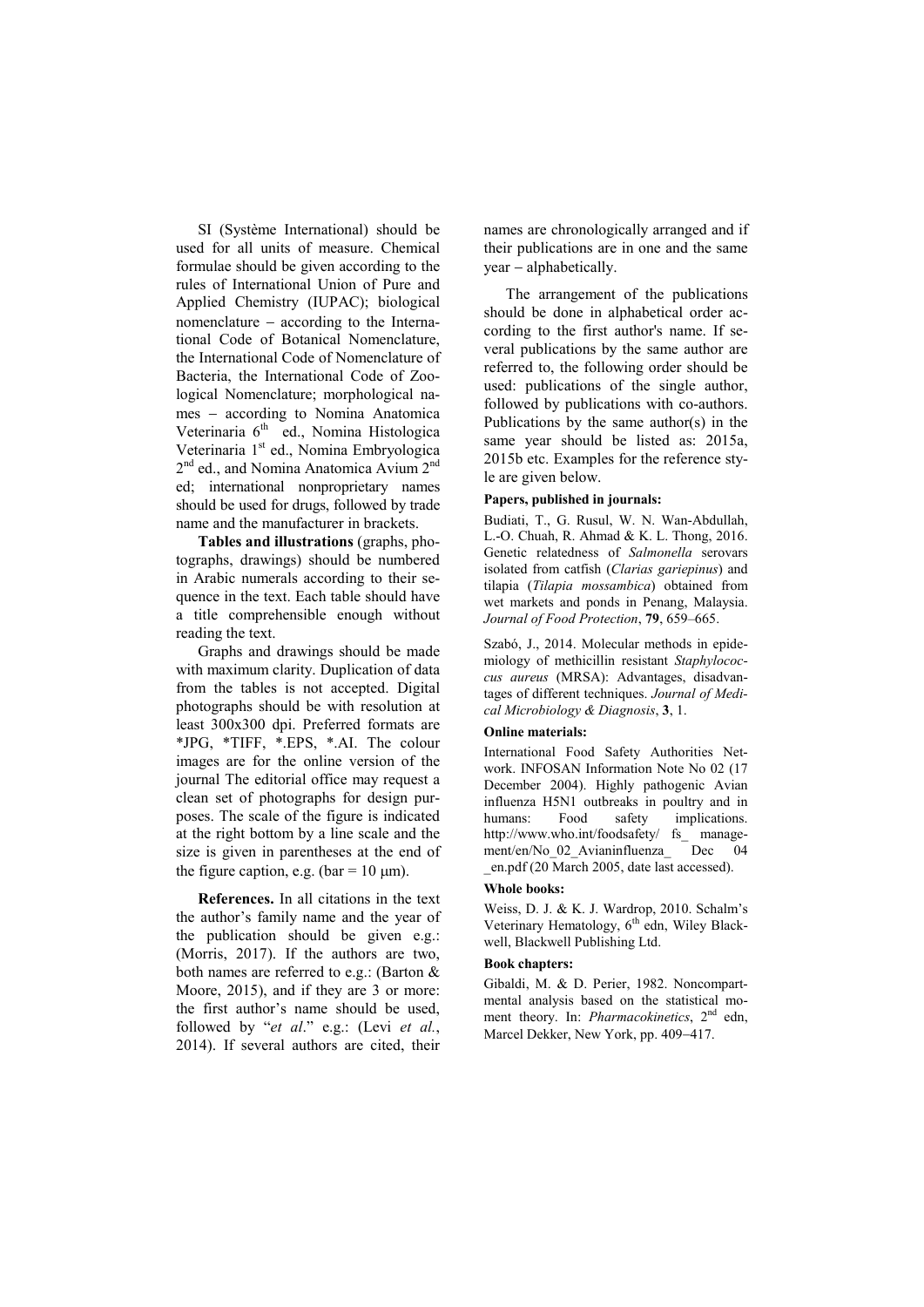SI (Système International) should be used for all units of measure. Chemical formulae should be given according to the rules of International Union of Pure and Applied Chemistry (IUPAC); biological nomenclature  $-$  according to the International Code of Botanical Nomenclature, the International Code of Nomenclature of Bacteria, the International Code of Zoological Nomenclature; morphological names - according to Nomina Anatomica Veterinaria 6<sup>th</sup> ed., Nomina Histologica Veterinaria 1<sup>st</sup> ed., Nomina Embryologica 2<sup>nd</sup> ed., and Nomina Anatomica Avium 2<sup>nd</sup> ed; international nonproprietary names should be used for drugs, followed by trade name and the manufacturer in brackets.

Tables and illustrations (graphs, photographs, drawings) should be numbered in Arabic numerals according to their sequence in the text. Each table should have a title comprehensible enough without reading the text.

Graphs and drawings should be made with maximum clarity. Duplication of data from the tables is not accepted. Digital photographs should be with resolution at least 300x300 dpi. Preferred formats are \*JPG, \*TIFF, \*.EPS, \*.AI. The colour images are for the online version of the journal The editorial office may request a clean set of photographs for design purposes. The scale of the figure is indicated at the right bottom by a line scale and the size is given in parentheses at the end of the figure caption, e.g. (bar =  $10 \text{ }\mu\text{m}$ ).

References. In all citations in the text the author's family name and the year of the publication should be given e.g.: (Morris, 2017). If the authors are two, both names are referred to e.g.: (Barton & Moore, 2015), and if they are 3 or more: the first author's name should be used, followed by "*et al*." e.g.: (Levi *et al.*, 2014). If several authors are cited, their names are chronologically arranged and if their publications are in one and the same  $year - alphabetically.$ 

The arrangement of the publications should be done in alphabetical order according to the first author's name. If several publications by the same author are referred to, the following order should be used: publications of the single author, followed by publications with co-authors. Publications by the same author(s) in the same year should be listed as: 2015a, 2015b etc. Examples for the reference style are given below.

### Papers, published in journals:

Budiati, T., G. Rusul, W. N. Wan-Abdullah, L.-O. Chuah, R. Ahmad & K. L. Thong, 2016. Genetic relatedness of *Salmonella* serovars isolated from catfish (*Clarias gariepinus*) and tilapia (*Tilapia mossambica*) obtained from wet markets and ponds in Penang, Malaysia. *Journal of Food Protection*, 79, 659–665.

Szabó, J., 2014. Molecular methods in epidemiology of methicillin resistant *Staphylococcus aureus* (MRSA): Advantages, disadvantages of different techniques. *Journal of Medical Microbiology & Diagnosis*, 3, 1.

#### Online materials:

International Food Safety Authorities Network. INFOSAN Information Note No 02 (17 December 2004). Highly pathogenic Avian influenza H5N1 outbreaks in poultry and in humans: Food safety implications. http://www.who.int/foodsafety/ fs\_ management/en/No\_02\_Avianinfluenza\_ Dec 04 \_en.pdf (20 March 2005, date last accessed).

#### Whole books:

Weiss, D. J. & K. J. Wardrop, 2010. Schalm's Veterinary Hematology, 6<sup>th</sup> edn, Wiley Blackwell, Blackwell Publishing Ltd.

## Book chapters:

Gibaldi, M. & D. Perier, 1982. Noncompartmental analysis based on the statistical moment theory. In: *Pharmacokinetics*, 2<sup>nd</sup> edn, Marcel Dekker, New York, pp. 409-417.